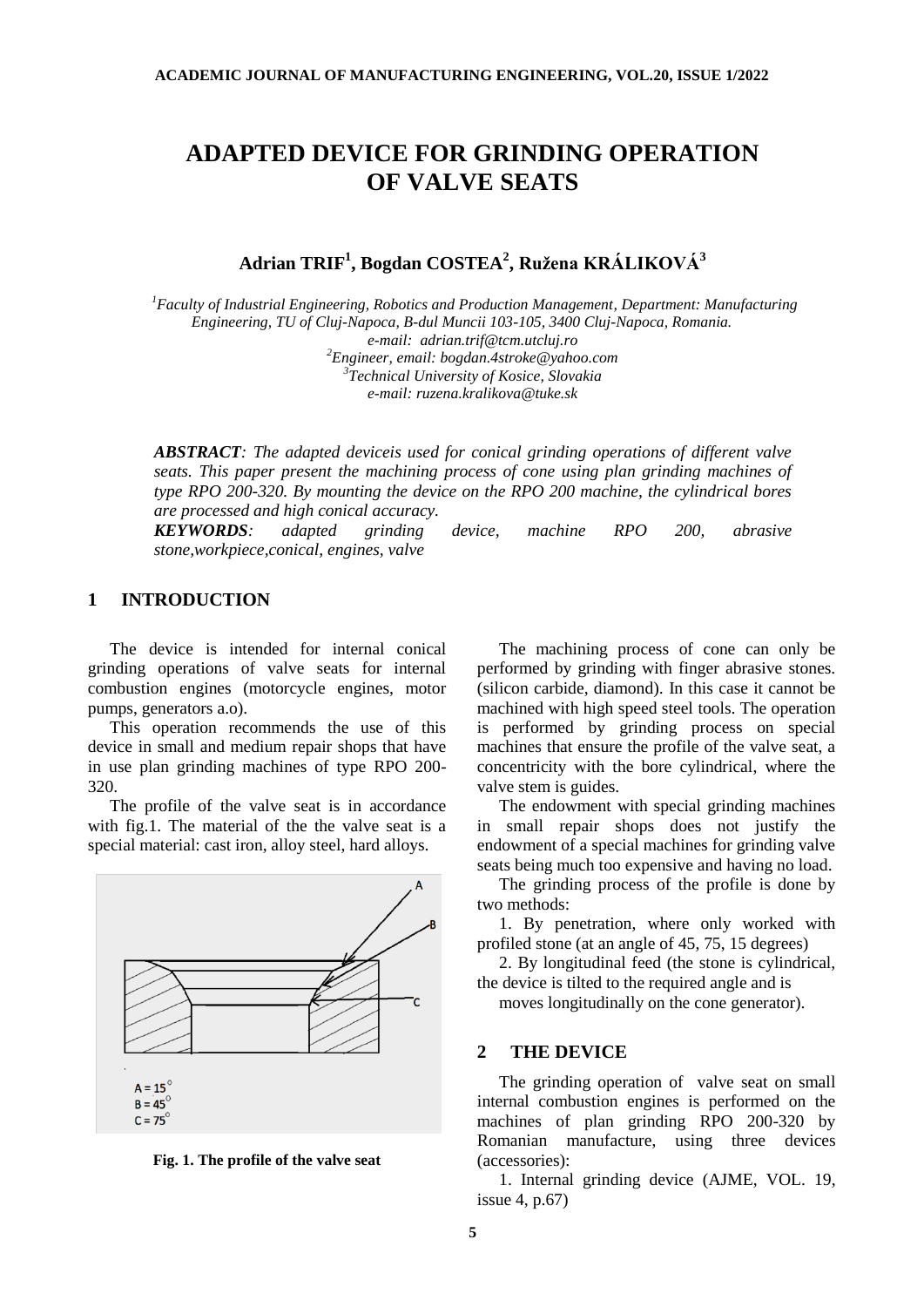# **ADAPTED DEVICE FOR GRINDING OPERATION OF VALVE SEATS**

## **Adrian TRIF<sup>1</sup> , Bogdan COSTEA<sup>2</sup> , Ružena KRÁLIKOVÁ<sup>3</sup>**

*<sup>1</sup>Faculty of Industrial Engineering, Robotics and Production Management, Department: Manufacturing Engineering, TU of Cluj-Napoca, B-dul Muncii 103-105, 3400 Cluj-Napoca, Romania. e-mail: adrian.trif@tcm.utcluj.ro 2 Engineer, email: [bogdan.4stroke@yahoo.com](mailto:bogdan.4stroke@yahoo.com)*

*3 Technical University of Kosice, Slovakia e-mail: ruzena.kralikova@tuke.sk*

*ABSTRACT: The adapted deviceis used for conical grinding operations of different valve seats. This paper present the machining process of cone using plan grinding machines of type RPO 200-320. By mounting the device on the RPO 200 machine, the cylindrical bores are processed and high conical accuracy.*

*KEYWORDS: adapted grinding device, machine RPO 200, abrasive stone,workpiece,conical, engines, valve* 

#### **1 INTRODUCTION**

The device is intended for internal conical grinding operations of valve seats for internal combustion engines (motorcycle engines, motor pumps, generators a.o).

This operation recommends the use of this device in small and medium repair shops that have in use plan grinding machines of type RPO 200- 320.

The profile of the valve seat is in accordance with fig.1. The material of the the valve seat is a special material: cast iron, alloy steel, hard alloys.



**Fig. 1. The profile of the valve seat**

The machining process of cone can only be performed by grinding with finger abrasive stones. (silicon carbide, diamond). In this case it cannot be machined with high speed steel tools. The operation is performed by grinding process on special machines that ensure the profile of the valve seat, a concentricity with the bore cylindrical, where the valve stem is guides.

The endowment with special grinding machines in small repair shops does not justify the endowment of a special machines for grinding valve seats being much too expensive and having no load.

The grinding process of the profile is done by two methods:

1. By penetration, where only worked with profiled stone (at an angle of 45, 75, 15 degrees)

2. By longitudinal feed (the stone is cylindrical, the device is tilted to the required angle and is

moves longitudinally on the cone generator).

#### **2 THE DEVICE**

The grinding operation of valve seat on small internal combustion engines is performed on the machines of plan grinding RPO 200-320 by Romanian manufacture, using three devices (accessories):

1. Internal grinding device (AJME, VOL. 19, issue 4, p.67)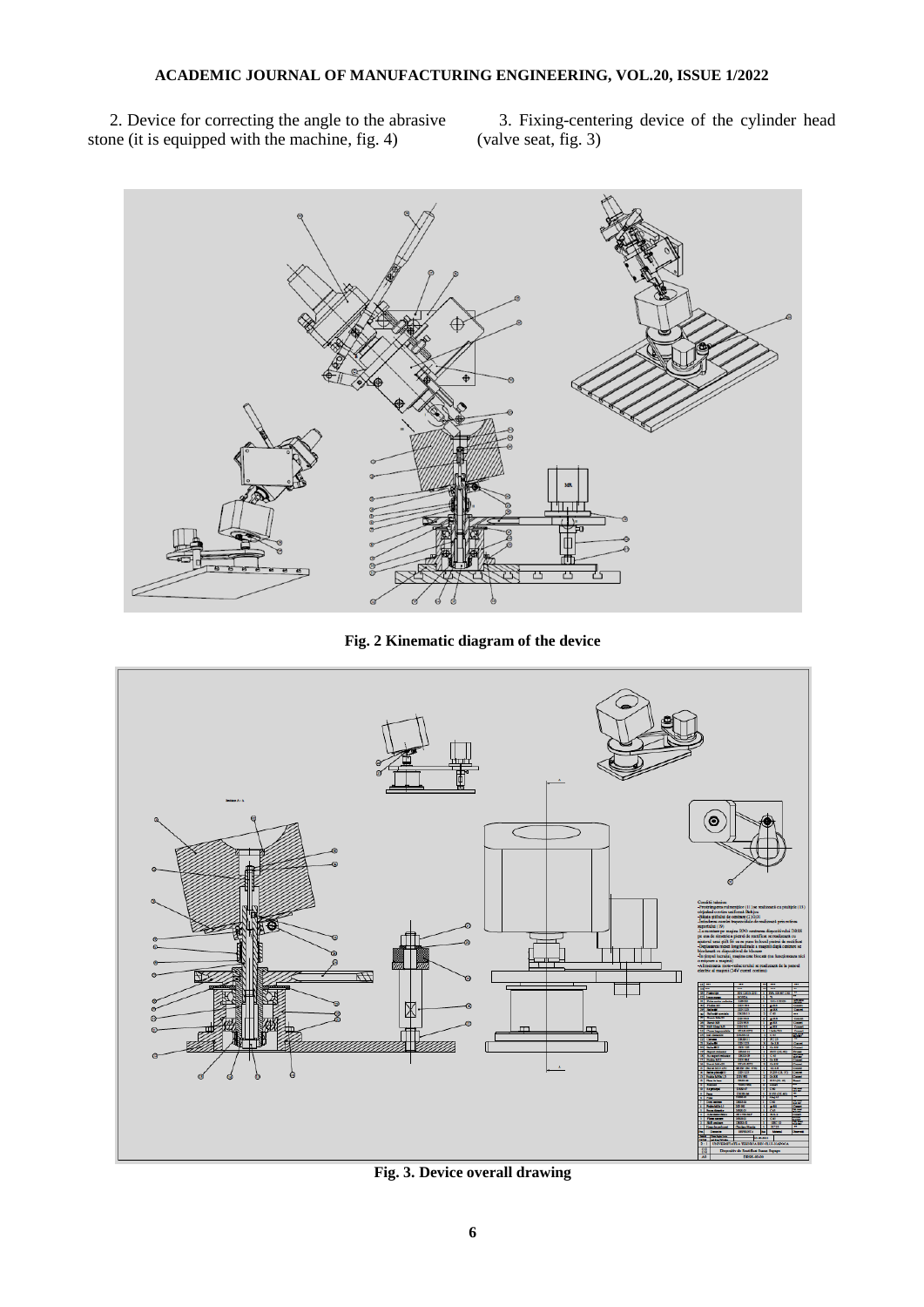2. Device for correcting the angle to the abrasive stone (it is equipped with the machine, fig. 4)

3. Fixing-centering device of the cylinder head (valve seat, fig. 3)



**Fig. 2 Kinematic diagram of the device**



**Fig. 3. Device overall drawing**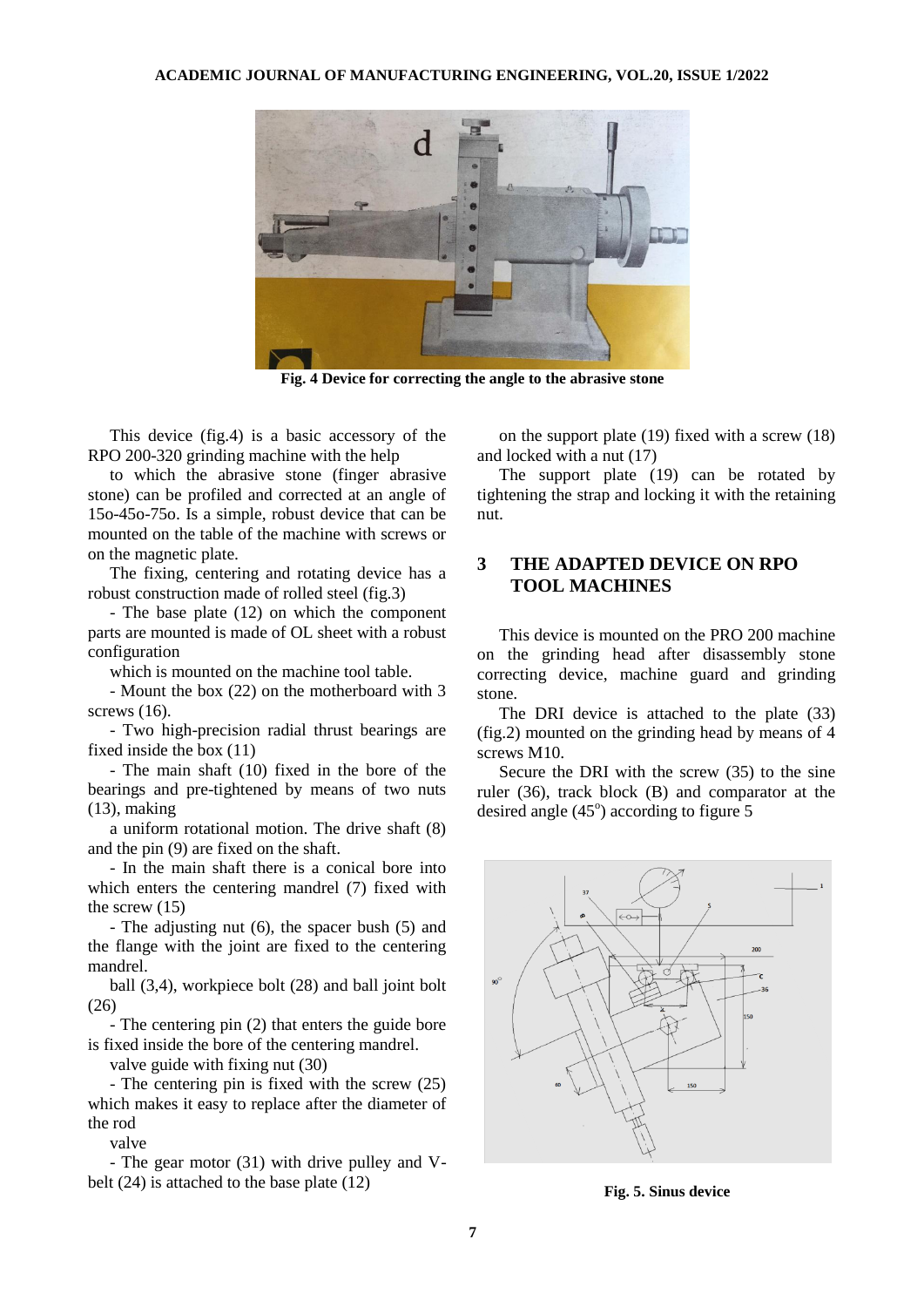

**Fig. 4 Device for correcting the angle to the abrasive stone**

This device (fig.4) is a basic accessory of the RPO 200-320 grinding machine with the help

to which the abrasive stone (finger abrasive stone) can be profiled and corrected at an angle of 15o-45o-75o. Is a simple, robust device that can be mounted on the table of the machine with screws or on the magnetic plate.

The fixing, centering and rotating device has a robust construction made of rolled steel (fig.3)

- The base plate (12) on which the component parts are mounted is made of OL sheet with a robust configuration

which is mounted on the machine tool table.

- Mount the box (22) on the motherboard with 3 screws  $(16)$ .

- Two high-precision radial thrust bearings are fixed inside the box (11)

- The main shaft (10) fixed in the bore of the bearings and pre-tightened by means of two nuts (13), making

a uniform rotational motion. The drive shaft (8) and the pin (9) are fixed on the shaft.

- In the main shaft there is a conical bore into which enters the centering mandrel (7) fixed with the screw (15)

- The adjusting nut (6), the spacer bush (5) and the flange with the joint are fixed to the centering mandrel.

ball (3,4), workpiece bolt (28) and ball joint bolt (26)

- The centering pin (2) that enters the guide bore is fixed inside the bore of the centering mandrel.

valve guide with fixing nut (30)

- The centering pin is fixed with the screw (25) which makes it easy to replace after the diameter of the rod

valve

- The gear motor (31) with drive pulley and Vbelt (24) is attached to the base plate (12)

on the support plate (19) fixed with a screw (18) and locked with a nut (17)

The support plate (19) can be rotated by tightening the strap and locking it with the retaining nut.

### **3 THE ADAPTED DEVICE ON RPO TOOL MACHINES**

This device is mounted on the PRO 200 machine on the grinding head after disassembly stone correcting device, machine guard and grinding stone.

The DRI device is attached to the plate (33) (fig.2) mounted on the grinding head by means of 4 screws M10.

Secure the DRI with the screw (35) to the sine ruler (36), track block (B) and comparator at the desired angle  $(45^{\circ})$  according to figure 5



**Fig. 5. Sinus device**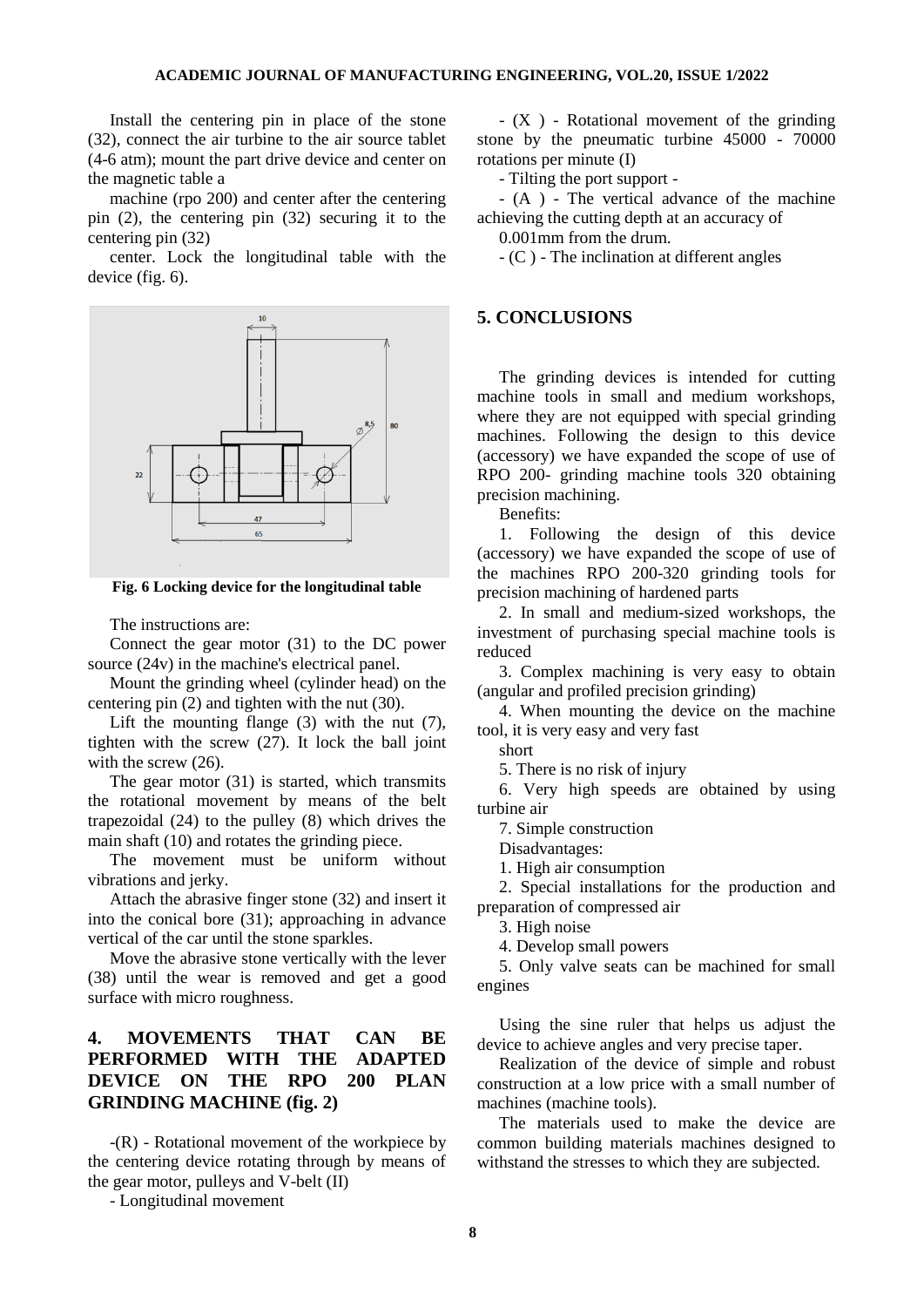Install the centering pin in place of the stone (32), connect the air turbine to the air source tablet (4-6 atm); mount the part drive device and center on the magnetic table a

machine (rpo 200) and center after the centering pin (2), the centering pin (32) securing it to the centering pin (32)

center. Lock the longitudinal table with the device (fig. 6).



**Fig. 6 Locking device for the longitudinal table**

The instructions are:

Connect the gear motor (31) to the DC power source (24v) in the machine's electrical panel.

Mount the grinding wheel (cylinder head) on the centering pin (2) and tighten with the nut (30).

Lift the mounting flange (3) with the nut (7), tighten with the screw (27). It lock the ball joint with the screw (26).

The gear motor (31) is started, which transmits the rotational movement by means of the belt trapezoidal (24) to the pulley (8) which drives the main shaft (10) and rotates the grinding piece.

The movement must be uniform without vibrations and jerky.

Attach the abrasive finger stone (32) and insert it into the conical bore (31); approaching in advance vertical of the car until the stone sparkles.

Move the abrasive stone vertically with the lever (38) until the wear is removed and get a good surface with micro roughness.

## **4. MOVEMENTS THAT CAN BE PERFORMED WITH THE ADAPTED DEVICE ON THE RPO 200 PLAN GRINDING MACHINE (fig. 2)**

-(R) - Rotational movement of the workpiece by the centering device rotating through by means of the gear motor, pulleys and V-belt (II)

- Longitudinal movement

- (X ) - Rotational movement of the grinding stone by the pneumatic turbine 45000 - 70000 rotations per minute (I)

- Tilting the port support -

- (A ) - The vertical advance of the machine achieving the cutting depth at an accuracy of

0.001mm from the drum.

- (C ) - The inclination at different angles

#### **5. CONCLUSIONS**

The grinding devices is intended for cutting machine tools in small and medium workshops, where they are not equipped with special grinding machines. Following the design to this device (accessory) we have expanded the scope of use of RPO 200- grinding machine tools 320 obtaining precision machining.

Benefits:

1. Following the design of this device (accessory) we have expanded the scope of use of the machines RPO 200-320 grinding tools for precision machining of hardened parts

2. In small and medium-sized workshops, the investment of purchasing special machine tools is reduced

3. Complex machining is very easy to obtain (angular and profiled precision grinding)

4. When mounting the device on the machine tool, it is very easy and very fast

short

5. There is no risk of injury

6. Very high speeds are obtained by using turbine air

7. Simple construction

Disadvantages:

1. High air consumption

2. Special installations for the production and preparation of compressed air

3. High noise

4. Develop small powers

5. Only valve seats can be machined for small engines

Using the sine ruler that helps us adjust the device to achieve angles and very precise taper.

Realization of the device of simple and robust construction at a low price with a small number of machines (machine tools).

The materials used to make the device are common building materials machines designed to withstand the stresses to which they are subjected.